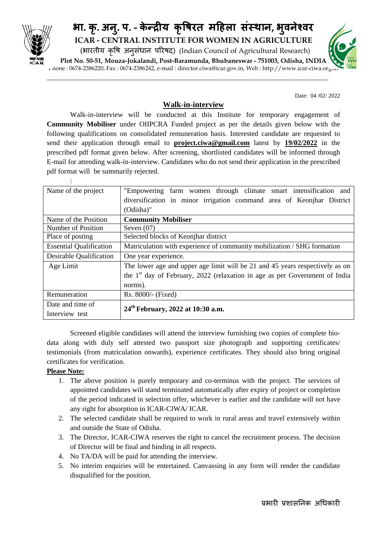

## **भा. क ृ. अन ु. प. - केन्द्रय कृ� म�हला संस्था, भ वनेश्व ु ICAR - CENTRAL INSTITUTE FOR WOMEN IN AGRICULTURE** (भारतीय कृषि अनुसधान परिषद) (Indian Council of Agricultural Research) **Plot No. 50-51, Mouza-Jokalandi, Post-Baramunda, Bhubaneswar - 751003, Odisha, INDIA**

Phone : 0674-2386220, Fax : 0674-2386242, e-mail : director.ciwa@icar.gov.in, Web : http://www.icar-ciwa.org.in

\_\_\_\_\_\_\_\_\_\_\_\_\_\_\_\_\_\_\_\_\_\_\_\_\_\_\_\_\_\_\_\_\_\_\_\_\_\_\_\_\_\_\_\_\_\_\_\_\_\_\_\_\_\_\_\_\_\_\_\_\_\_\_\_\_\_\_\_\_\_\_\_\_\_\_\_\_\_\_\_\_\_\_\_\_\_\_\_\_\_\_\_\_\_\_\_\_\_\_\_\_\_\_\_\_\_\_\_\_\_\_\_\_

Date: 04 /02/ 2022

## **Walk-in-interview**

Walk-in-interview will be conducted at this Institute for temporary engagement of **Community Mobiliser** under OIIPCRA Funded project as per the details given below with the following qualifications on consolidated remuneration basis. Interested candidate are requested to send their application through email to **project.ciwa@gmail.com** latest by **19/02/2022** in the prescribed pdf format given below. After screening, shortlisted candidates will be informed through E-mail for attending walk-in-interview. Candidates who do not send their application in the prescribed pdf format will be summarily rejected.

| Name of the project            | "Empowering farm women through climate smart intensification and              |  |  |  |  |  |  |
|--------------------------------|-------------------------------------------------------------------------------|--|--|--|--|--|--|
|                                | diversification in minor irrigation command area of Keonjhar District         |  |  |  |  |  |  |
|                                | (Odisha)"                                                                     |  |  |  |  |  |  |
| Name of the Position           | <b>Community Mobiliser</b>                                                    |  |  |  |  |  |  |
| Number of Position             | Seven $(07)$                                                                  |  |  |  |  |  |  |
| Place of posting               | Selected blocks of Keonjhar district                                          |  |  |  |  |  |  |
| <b>Essential Qualification</b> | Matriculation with experience of community mobilization / SHG formation       |  |  |  |  |  |  |
| Desirable Qualification        | One year experience.                                                          |  |  |  |  |  |  |
| Age Limit                      | The lower age and upper age limit will be 21 and 45 years respectively as on  |  |  |  |  |  |  |
|                                | the $1st$ day of February, 2022 (relaxation in age as per Government of India |  |  |  |  |  |  |
|                                | norms).                                                                       |  |  |  |  |  |  |
| Remuneration                   | Rs. 8000/- (Fixed)                                                            |  |  |  |  |  |  |
| Date and time of               | 24 <sup>th</sup> February, 2022 at 10:30 a.m.                                 |  |  |  |  |  |  |
| Interview test                 |                                                                               |  |  |  |  |  |  |

Screened eligible candidates will attend the interview furnishing two copies of complete biodata along with duly self attested two passport size photograph and supporting certificates/ testimonials (from matriculation onwards), experience certificates. They should also bring original certificates for verification.

## **Please Note:**

:

- 1. The above position is purely temporary and co-terminus with the project. The services of appointed candidates will stand terminated automatically after expiry of project or completion of the period indicated in selection offer, whichever is earlier and the candidate will not have any right for absorption in ICAR-CIWA/ ICAR.
- 2. The selected candidate shall be required to work in rural areas and travel extensively within and outside the State of Odisha.
- 3. The Director, ICAR-CIWA reserves the right to cancel the recruitment process. The decision of Director will be final and binding in all respects.
- 4. No TA/DA will be paid for attending the interview.
- 5. No interim enquiries will be entertained. Canvassing in any form will render the candidate disqualified for the position.